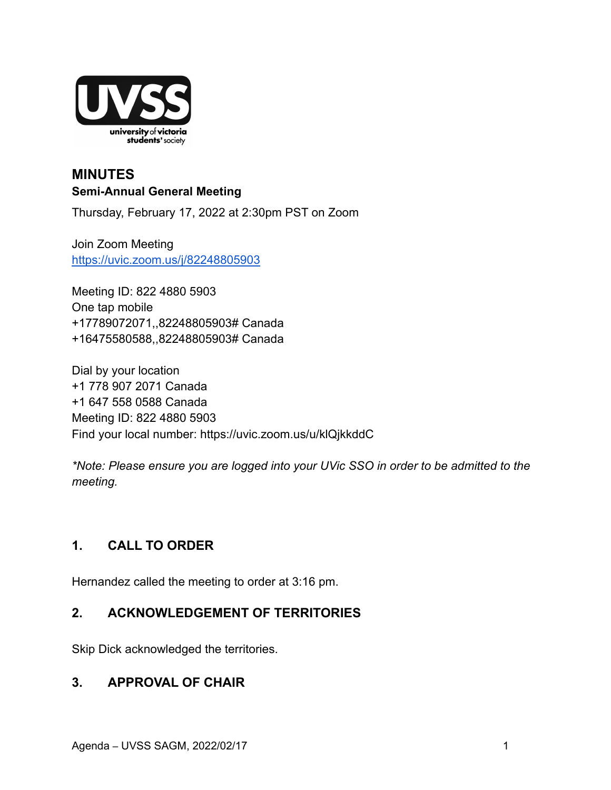

## **MINUTES Semi-Annual General Meeting**

Thursday, February 17, 2022 at 2:30pm PST on Zoom

Join Zoom Meeting <https://uvic.zoom.us/j/82248805903>

Meeting ID: 822 4880 5903 One tap mobile +17789072071,,82248805903# Canada +16475580588,,82248805903# Canada

Dial by your location +1 778 907 2071 Canada +1 647 558 0588 Canada Meeting ID: 822 4880 5903 Find your local number: https://uvic.zoom.us/u/klQjkkddC

*\*Note: Please ensure you are logged into your UVic SSO in order to be admitted to the meeting.*

# **1. CALL TO ORDER**

Hernandez called the meeting to order at 3:16 pm.

## **2. ACKNOWLEDGEMENT OF TERRITORIES**

Skip Dick acknowledged the territories.

## **3. APPROVAL OF CHAIR**

Agenda – UVSS SAGM, 2022/02/17 1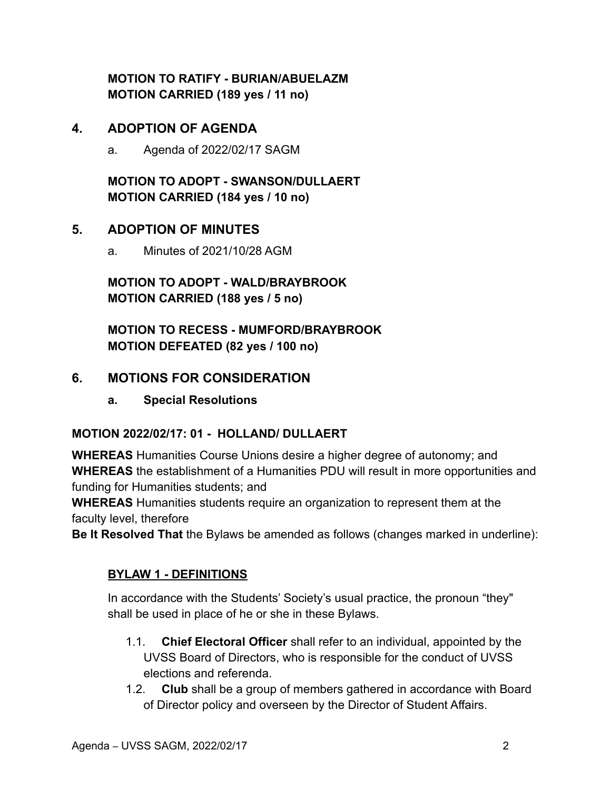**MOTION TO RATIFY - BURIAN/ABUELAZM MOTION CARRIED (189 yes / 11 no)**

## **4. ADOPTION OF AGENDA**

a. Agenda of 2022/02/17 SAGM

**MOTION TO ADOPT - SWANSON/DULLAERT MOTION CARRIED (184 yes / 10 no)**

## **5. ADOPTION OF MINUTES**

a. Minutes of 2021/10/28 AGM

**MOTION TO ADOPT - WALD/BRAYBROOK MOTION CARRIED (188 yes / 5 no)**

**MOTION TO RECESS - MUMFORD/BRAYBROOK MOTION DEFEATED (82 yes / 100 no)**

## **6. MOTIONS FOR CONSIDERATION**

**a. Special Resolutions**

## **MOTION 2022/02/17: 01 - HOLLAND/ DULLAERT**

**WHEREAS** Humanities Course Unions desire a higher degree of autonomy; and **WHEREAS** the establishment of a Humanities PDU will result in more opportunities and funding for Humanities students; and

**WHEREAS** Humanities students require an organization to represent them at the faculty level, therefore

**Be It Resolved That** the Bylaws be amended as follows (changes marked in underline):

#### **BYLAW 1 - DEFINITIONS**

In accordance with the Students' Society's usual practice, the pronoun "they" shall be used in place of he or she in these Bylaws.

- 1.1. **Chief Electoral Officer** shall refer to an individual, appointed by the UVSS Board of Directors, who is responsible for the conduct of UVSS elections and referenda.
- 1.2. **Club** shall be a group of members gathered in accordance with Board of Director policy and overseen by the Director of Student Affairs.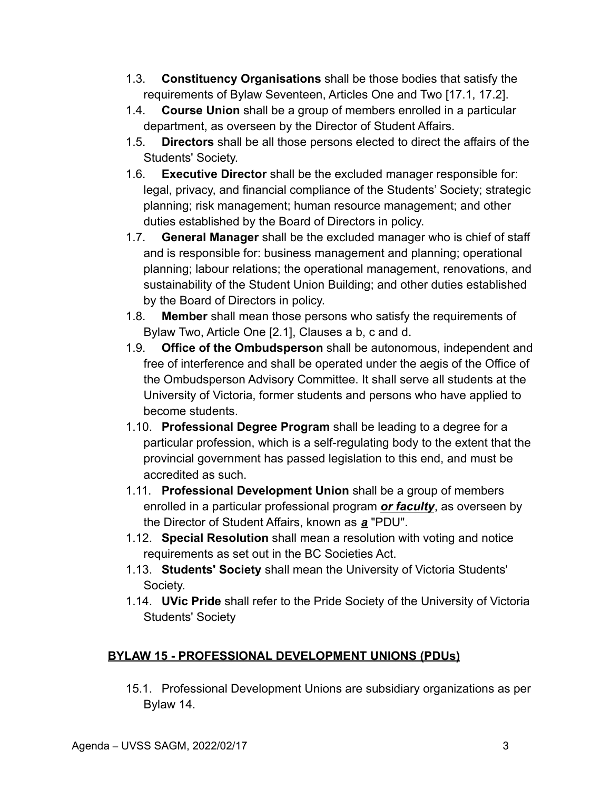- 1.3. **Constituency Organisations** shall be those bodies that satisfy the requirements of Bylaw Seventeen, Articles One and Two [17.1, 17.2].
- 1.4. **Course Union** shall be a group of members enrolled in a particular department, as overseen by the Director of Student Affairs.
- 1.5. **Directors** shall be all those persons elected to direct the affairs of the Students' Society.
- 1.6. **Executive Director** shall be the excluded manager responsible for: legal, privacy, and financial compliance of the Students' Society; strategic planning; risk management; human resource management; and other duties established by the Board of Directors in policy.
- 1.7. **General Manager** shall be the excluded manager who is chief of staff and is responsible for: business management and planning; operational planning; labour relations; the operational management, renovations, and sustainability of the Student Union Building; and other duties established by the Board of Directors in policy.
- 1.8. **Member** shall mean those persons who satisfy the requirements of Bylaw Two, Article One [2.1], Clauses a b, c and d.
- 1.9. **Office of the Ombudsperson** shall be autonomous, independent and free of interference and shall be operated under the aegis of the Office of the Ombudsperson Advisory Committee. It shall serve all students at the University of Victoria, former students and persons who have applied to become students.
- 1.10. **Professional Degree Program** shall be leading to a degree for a particular profession, which is a self-regulating body to the extent that the provincial government has passed legislation to this end, and must be accredited as such.
- 1.11. **Professional Development Union** shall be a group of members enrolled in a particular professional program *or faculty*, as overseen by the Director of Student Affairs, known as *a* "PDU".
- 1.12. **Special Resolution** shall mean a resolution with voting and notice requirements as set out in the BC Societies Act.
- 1.13. **Students' Society** shall mean the University of Victoria Students' Society.
- 1.14. **UVic Pride** shall refer to the Pride Society of the University of Victoria Students' Society

## **BYLAW 15 - PROFESSIONAL DEVELOPMENT UNIONS (PDUs)**

15.1. Professional Development Unions are subsidiary organizations as per Bylaw 14.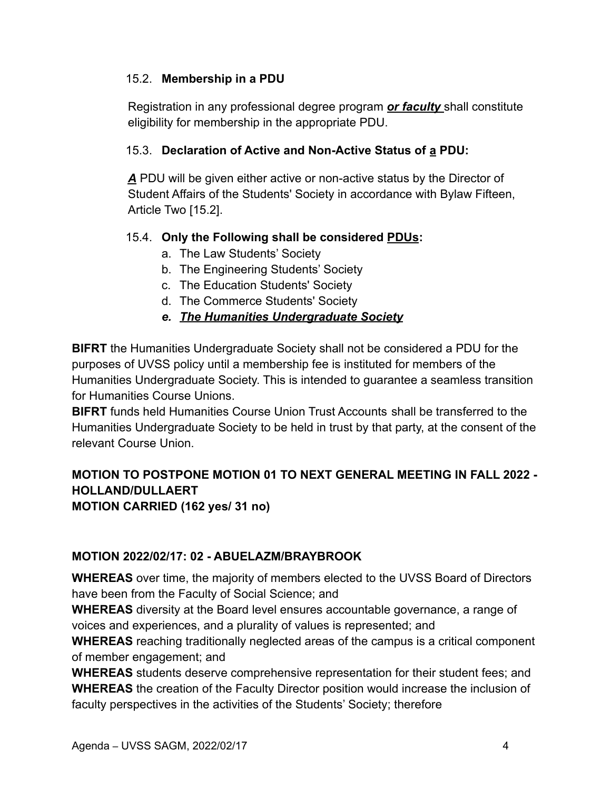#### 15.2. **Membership in a PDU**

Registration in any professional degree program *or faculty* shall constitute eligibility for membership in the appropriate PDU.

#### 15.3. **Declaration of Active and Non-Active Status of a PDU:**

*A* PDU will be given either active or non-active status by the Director of Student Affairs of the Students' Society in accordance with Bylaw Fifteen, Article Two [15.2].

## 15.4. **Only the Following shall be considered PDUs:**

- a. The Law Students' Society
- b. The Engineering Students' Society
- c. The Education Students' Society
- d. The Commerce Students' Society

## *e. The Humanities Undergraduate Society*

**BIFRT** the Humanities Undergraduate Society shall not be considered a PDU for the purposes of UVSS policy until a membership fee is instituted for members of the Humanities Undergraduate Society. This is intended to guarantee a seamless transition for Humanities Course Unions.

**BIFRT** funds held Humanities Course Union Trust Accounts shall be transferred to the Humanities Undergraduate Society to be held in trust by that party, at the consent of the relevant Course Union.

#### **MOTION TO POSTPONE MOTION 01 TO NEXT GENERAL MEETING IN FALL 2022 - HOLLAND/DULLAERT MOTION CARRIED (162 yes/ 31 no)**

## **MOTION 2022/02/17: 02 - ABUELAZM/BRAYBROOK**

**WHEREAS** over time, the majority of members elected to the UVSS Board of Directors have been from the Faculty of Social Science; and

**WHEREAS** diversity at the Board level ensures accountable governance, a range of voices and experiences, and a plurality of values is represented; and

**WHEREAS** reaching traditionally neglected areas of the campus is a critical component of member engagement; and

**WHEREAS** students deserve comprehensive representation for their student fees; and **WHEREAS** the creation of the Faculty Director position would increase the inclusion of faculty perspectives in the activities of the Students' Society; therefore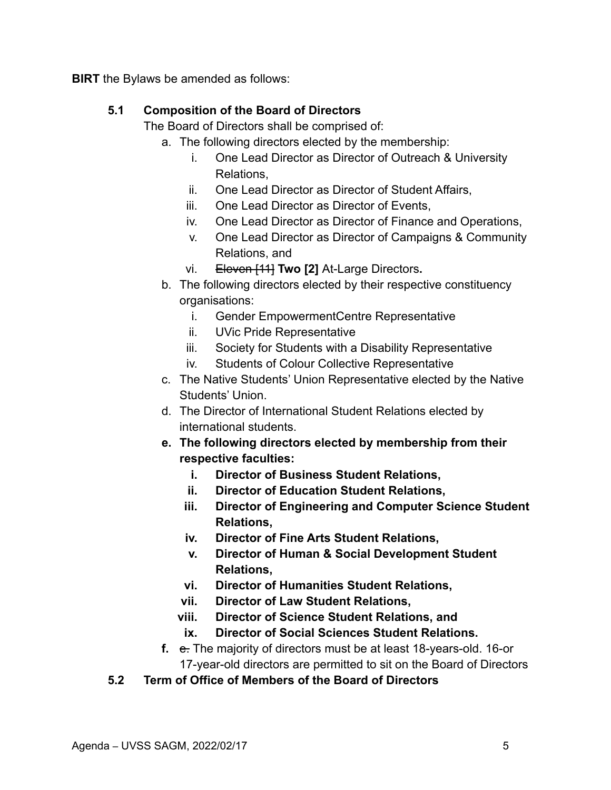**BIRT** the Bylaws be amended as follows:

## **5.1 Composition of the Board of Directors**

The Board of Directors shall be comprised of:

- a. The following directors elected by the membership:
	- i. One Lead Director as Director of Outreach & University Relations,
	- ii. One Lead Director as Director of Student Affairs,
	- iii. One Lead Director as Director of Events,
	- iv. One Lead Director as Director of Finance and Operations,
	- v. One Lead Director as Director of Campaigns & Community Relations, and
	- vi. Eleven [11] **Two [2]** At-Large Directors**.**
- b. The following directors elected by their respective constituency organisations:
	- i. Gender EmpowermentCentre Representative
	- ii. UVic Pride Representative
	- iii. Society for Students with a Disability Representative
	- iv. Students of Colour Collective Representative
- c. The Native Students' Union Representative elected by the Native Students' Union.
- d. The Director of International Student Relations elected by international students.
- **e. The following directors elected by membership from their respective faculties:**
	- **i. Director of Business Student Relations,**
	- **ii. Director of Education Student Relations,**
	- **iii. Director of Engineering and Computer Science Student Relations,**
	- **iv. Director of Fine Arts Student Relations,**
	- **v. Director of Human & Social Development Student Relations,**
	- **vi. Director of Humanities Student Relations,**
	- **vii. Director of Law Student Relations,**
	- **viii. Director of Science Student Relations, and**
	- **ix. Director of Social Sciences Student Relations.**
- **f.** e. The majority of directors must be at least 18-years-old. 16-or 17-year-old directors are permitted to sit on the Board of Directors
- **5.2 Term of Office of Members of the Board of Directors**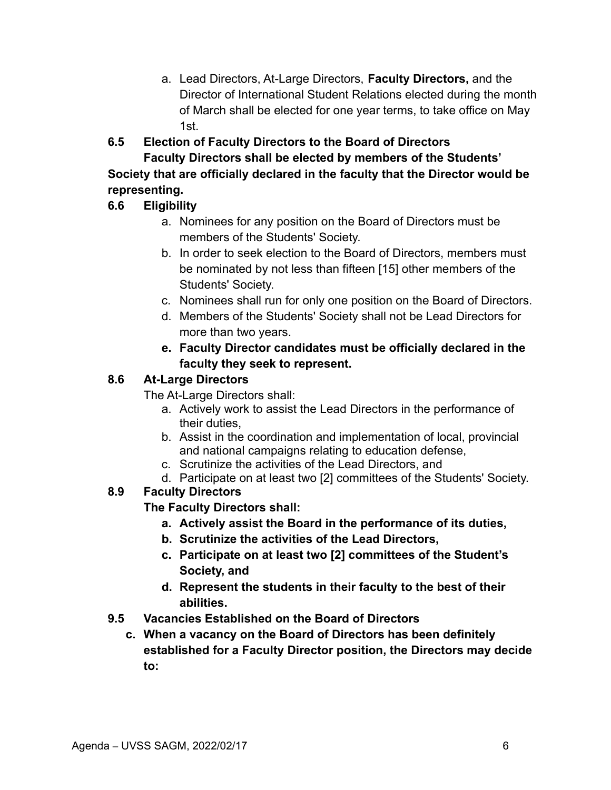a. Lead Directors, At-Large Directors, **Faculty Directors,** and the Director of International Student Relations elected during the month of March shall be elected for one year terms, to take office on May 1st.

## **6.5 Election of Faculty Directors to the Board of Directors**

**Faculty Directors shall be elected by members of the Students' Society that are officially declared in the faculty that the Director would be representing.**

## **6.6 Eligibility**

- a. Nominees for any position on the Board of Directors must be members of the Students' Society.
- b. In order to seek election to the Board of Directors, members must be nominated by not less than fifteen [15] other members of the Students' Society.
- c. Nominees shall run for only one position on the Board of Directors.
- d. Members of the Students' Society shall not be Lead Directors for more than two years.
- **e. Faculty Director candidates must be officially declared in the faculty they seek to represent.**

#### **8.6 At-Large Directors**

The At-Large Directors shall:

- a. Actively work to assist the Lead Directors in the performance of their duties,
- b. Assist in the coordination and implementation of local, provincial and national campaigns relating to education defense,
- c. Scrutinize the activities of the Lead Directors, and
- d. Participate on at least two [2] committees of the Students' Society.

## **8.9 Faculty Directors**

## **The Faculty Directors shall:**

- **a. Actively assist the Board in the performance of its duties,**
- **b. Scrutinize the activities of the Lead Directors,**
- **c. Participate on at least two [2] committees of the Student's Society, and**
- **d. Represent the students in their faculty to the best of their abilities.**
- **9.5 Vacancies Established on the Board of Directors**
	- **c. When a vacancy on the Board of Directors has been definitely established for a Faculty Director position, the Directors may decide to:**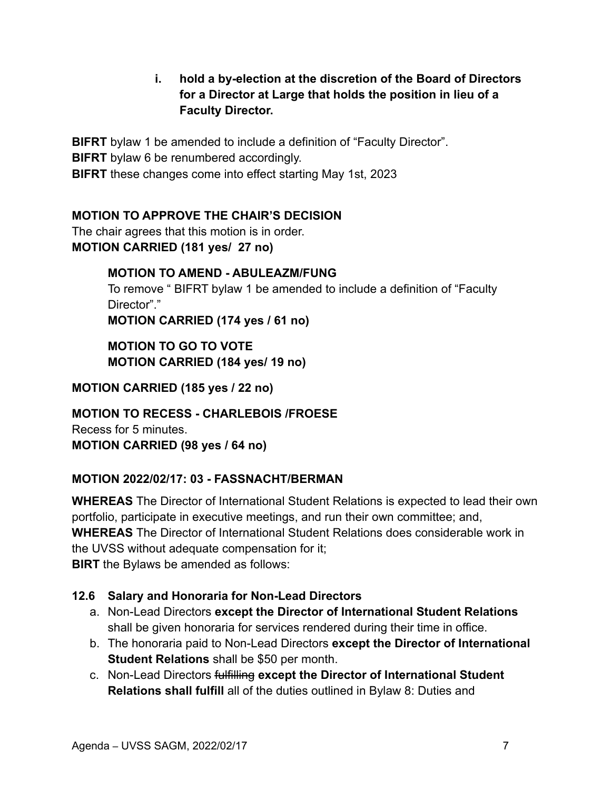**i. hold a by-election at the discretion of the Board of Directors for a Director at Large that holds the position in lieu of a Faculty Director.**

**BIFRT** bylaw 1 be amended to include a definition of "Faculty Director". **BIFRT** bylaw 6 be renumbered accordingly. **BIFRT** these changes come into effect starting May 1st, 2023

## **MOTION TO APPROVE THE CHAIR'S DECISION**

The chair agrees that this motion is in order. **MOTION CARRIED (181 yes/ 27 no)**

## **MOTION TO AMEND - ABULEAZM/FUNG**

To remove " BIFRT bylaw 1 be amended to include a definition of "Faculty Director"."

**MOTION CARRIED (174 yes / 61 no)**

**MOTION TO GO TO VOTE MOTION CARRIED (184 yes/ 19 no)**

**MOTION CARRIED (185 yes / 22 no)**

**MOTION TO RECESS - CHARLEBOIS /FROESE** Recess for 5 minutes. **MOTION CARRIED (98 yes / 64 no)**

## **MOTION 2022/02/17: 03 - FASSNACHT/BERMAN**

**WHEREAS** The Director of International Student Relations is expected to lead their own portfolio, participate in executive meetings, and run their own committee; and, **WHEREAS** The Director of International Student Relations does considerable work in the UVSS without adequate compensation for it; **BIRT** the Bylaws be amended as follows:

## **12.6 Salary and Honoraria for Non-Lead Directors**

- a. Non-Lead Directors **except the Director of International Student Relations** shall be given honoraria for services rendered during their time in office.
- b. The honoraria paid to Non-Lead Directors **except the Director of International Student Relations** shall be \$50 per month.
- c. Non-Lead Directors fulfilling **except the Director of International Student Relations shall fulfill** all of the duties outlined in Bylaw 8: Duties and